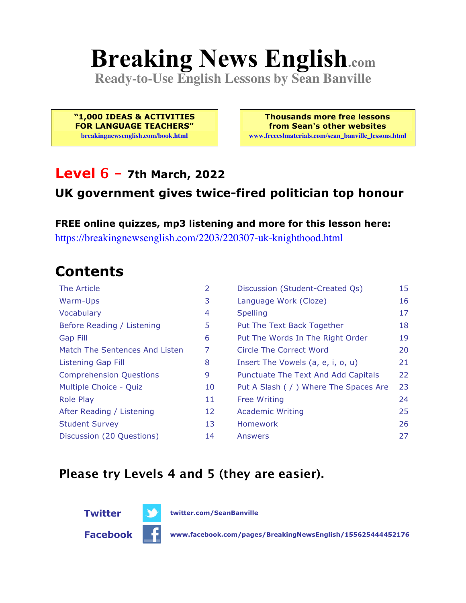# **Breaking News English.com**

**Ready-to-Use English Lessons by Sean Banville**

**"1,000 IDEAS & ACTIVITIES FOR LANGUAGE TEACHERS" breakingnewsenglish.com/book.html**

**Thousands more free lessons from Sean's other websites www.freeeslmaterials.com/sean\_banville\_lessons.html**

#### **Level 6 - 7th March, 2022**

#### **UK government gives twice-fired politician top honour**

**FREE online quizzes, mp3 listening and more for this lesson here:** https://breakingnewsenglish.com/2203/220307-uk-knighthood.html

### **Contents**

| The Article                    | $\overline{2}$ | Discussion (Student-Created Qs)        | 15 |
|--------------------------------|----------------|----------------------------------------|----|
| Warm-Ups                       | 3              | Language Work (Cloze)                  | 16 |
| Vocabulary                     | 4              | <b>Spelling</b>                        | 17 |
| Before Reading / Listening     | 5              | Put The Text Back Together             | 18 |
| Gap Fill                       | 6              | Put The Words In The Right Order       | 19 |
| Match The Sentences And Listen | 7              | Circle The Correct Word                | 20 |
| <b>Listening Gap Fill</b>      | 8              | Insert The Vowels (a, e, i, o, u)      | 21 |
| <b>Comprehension Questions</b> | 9              | Punctuate The Text And Add Capitals    | 22 |
| Multiple Choice - Quiz         | 10             | Put A Slash ( / ) Where The Spaces Are | 23 |
| <b>Role Play</b>               | 11             | <b>Free Writing</b>                    | 24 |
| After Reading / Listening      | 12             | <b>Academic Writing</b>                | 25 |
| <b>Student Survey</b>          | 13             | <b>Homework</b>                        | 26 |
| Discussion (20 Questions)      | 14             | Answers                                | 27 |

#### **Please try Levels 4 and 5 (they are easier).**

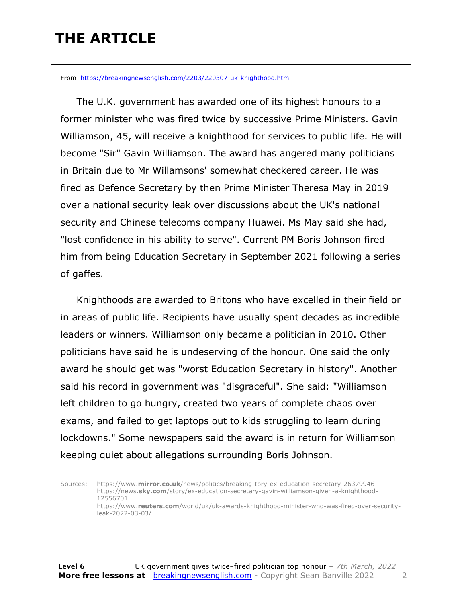### **THE ARTICLE**

From https://breakingnewsenglish.com/2203/220307-uk-knighthood.html

 The U.K. government has awarded one of its highest honours to a former minister who was fired twice by successive Prime Ministers. Gavin Williamson, 45, will receive a knighthood for services to public life. He will become "Sir" Gavin Williamson. The award has angered many politicians in Britain due to Mr Willamsons' somewhat checkered career. He was fired as Defence Secretary by then Prime Minister Theresa May in 2019 over a national security leak over discussions about the UK's national security and Chinese telecoms company Huawei. Ms May said she had, "lost confidence in his ability to serve". Current PM Boris Johnson fired him from being Education Secretary in September 2021 following a series of gaffes.

 Knighthoods are awarded to Britons who have excelled in their field or in areas of public life. Recipients have usually spent decades as incredible leaders or winners. Williamson only became a politician in 2010. Other politicians have said he is undeserving of the honour. One said the only award he should get was "worst Education Secretary in history". Another said his record in government was "disgraceful". She said: "Williamson left children to go hungry, created two years of complete chaos over exams, and failed to get laptops out to kids struggling to learn during lockdowns." Some newspapers said the award is in return for Williamson keeping quiet about allegations surrounding Boris Johnson.

Sources: https://www.**mirror.co.uk**/news/politics/breaking-tory-ex-education-secretary-26379946 https://news.**sky.com**/story/ex-education-secretary-gavin-williamson-given-a-knighthood-12556701 https://www.**reuters.com**/world/uk/uk-awards-knighthood-minister-who-was-fired-over-securityleak-2022-03-03/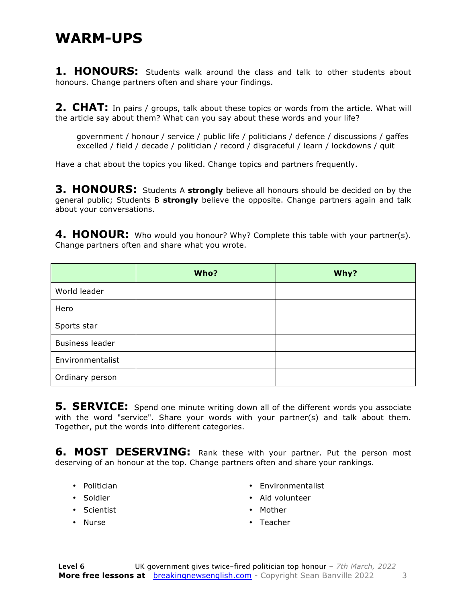#### **WARM-UPS**

**1. HONOURS:** Students walk around the class and talk to other students about honours. Change partners often and share your findings.

**2. CHAT:** In pairs / groups, talk about these topics or words from the article. What will the article say about them? What can you say about these words and your life?

government / honour / service / public life / politicians / defence / discussions / gaffes excelled / field / decade / politician / record / disgraceful / learn / lockdowns / quit

Have a chat about the topics you liked. Change topics and partners frequently.

**3. HONOURS:** Students A **strongly** believe all honours should be decided on by the general public; Students B **strongly** believe the opposite. Change partners again and talk about your conversations.

**4. HONOUR:** Who would you honour? Why? Complete this table with your partner(s). Change partners often and share what you wrote.

|                        | Who? | Why? |
|------------------------|------|------|
| World leader           |      |      |
| Hero                   |      |      |
| Sports star            |      |      |
| <b>Business leader</b> |      |      |
| Environmentalist       |      |      |
| Ordinary person        |      |      |

**5. SERVICE:** Spend one minute writing down all of the different words you associate with the word "service". Share your words with your partner(s) and talk about them. Together, put the words into different categories.

**6. MOST DESERVING:** Rank these with your partner. Put the person most deserving of an honour at the top. Change partners often and share your rankings.

- Politician
- Soldier
- Scientist
- Nurse
- Environmentalist
- Aid volunteer
- Mother
- Teacher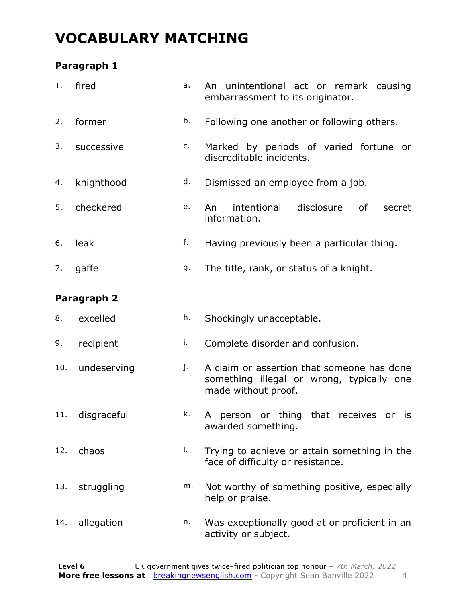### **VOCABULARY MATCHING**

#### **Paragraph 1**

| 1.  | fired       | a. | An unintentional act or remark causing<br>embarrassment to its originator.                                     |  |  |  |  |  |  |
|-----|-------------|----|----------------------------------------------------------------------------------------------------------------|--|--|--|--|--|--|
| 2.  | former      | b. | Following one another or following others.                                                                     |  |  |  |  |  |  |
| 3.  | successive  | c. | Marked by periods of varied fortune or<br>discreditable incidents.                                             |  |  |  |  |  |  |
| 4.  | knighthood  | d. | Dismissed an employee from a job.                                                                              |  |  |  |  |  |  |
| 5.  | checkered   | e. | disclosure<br>intentional<br>0f<br>An<br>secret<br>information.                                                |  |  |  |  |  |  |
| 6.  | leak        | f. | Having previously been a particular thing.                                                                     |  |  |  |  |  |  |
| 7.  | gaffe       | g. | The title, rank, or status of a knight.                                                                        |  |  |  |  |  |  |
|     | Paragraph 2 |    |                                                                                                                |  |  |  |  |  |  |
| 8.  | excelled    | h. | Shockingly unacceptable.                                                                                       |  |  |  |  |  |  |
| 9.  | recipient   | i. | Complete disorder and confusion.                                                                               |  |  |  |  |  |  |
| 10. | undeserving | j. | A claim or assertion that someone has done<br>something illegal or wrong, typically one<br>made without proof. |  |  |  |  |  |  |
| 11. | disgraceful | k. | or thing that receives<br>person<br>A<br>or<br>is<br>awarded something.                                        |  |  |  |  |  |  |
| 12. | chaos       | I. | Trying to achieve or attain something in the<br>face of difficulty or resistance.                              |  |  |  |  |  |  |
| 13. | struggling  | m. | Not worthy of something positive, especially<br>help or praise.                                                |  |  |  |  |  |  |
| 14. | allegation  | n. | Was exceptionally good at or proficient in an<br>activity or subject.                                          |  |  |  |  |  |  |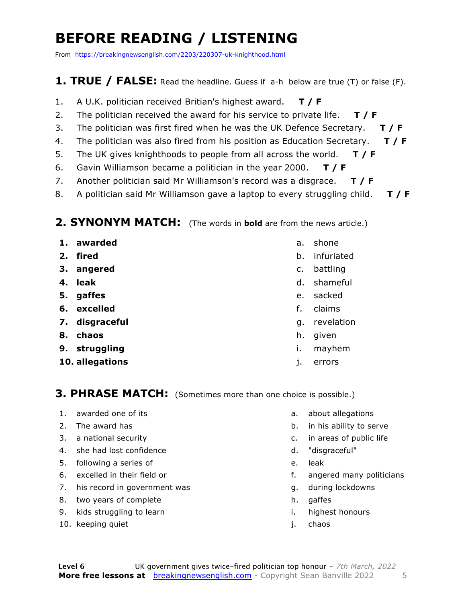### **BEFORE READING / LISTENING**

From https://breakingnewsenglish.com/2203/220307-uk-knighthood.html

#### **1. TRUE / FALSE:** Read the headline. Guess if a-h below are true (T) or false (F).

- 1. A U.K. politician received Britian's highest award. **T / F**
- 2. The politician received the award for his service to private life. **T / F**
- 3. The politician was first fired when he was the UK Defence Secretary. **T / F**
- 4. The politician was also fired from his position as Education Secretary. **T / F**
- 5. The UK gives knighthoods to people from all across the world. **T / F**
- 6. Gavin Williamson became a politician in the year 2000. **T / F**
- 7. Another politician said Mr Williamson's record was a disgrace. **T / F**
- 8. A politician said Mr Williamson gave a laptop to every struggling child. **T / F**

#### **2. SYNONYM MATCH:** (The words in **bold** are from the news article.)

- **1. awarded**
- **2. fired**
- **3. angered**
- **4. leak**
- **5. gaffes**
- **6. excelled**
- **7. disgraceful**
- **8. chaos**
- **9. struggling**
- **10. allegations**
- a. shone
- b. infuriated
- c. battling
- d. shameful
- e. sacked
- f. claims
- g. revelation
- h. given
- i. mayhem
- j. errors

#### **3. PHRASE MATCH:** (Sometimes more than one choice is possible.)

- 1. awarded one of its
- 2. The award has
- 3. a national security
- 4. she had lost confidence
- 5. following a series of
- 6. excelled in their field or
- 7. his record in government was
- 8. two years of complete
- 9. kids struggling to learn
- 10. keeping quiet
- a. about allegations
- b. in his ability to serve
- c. in areas of public life
- d. "disgraceful"
- e. leak
- f. angered many politicians
- g. during lockdowns
- h. gaffes
- i. highest honours
- j. chaos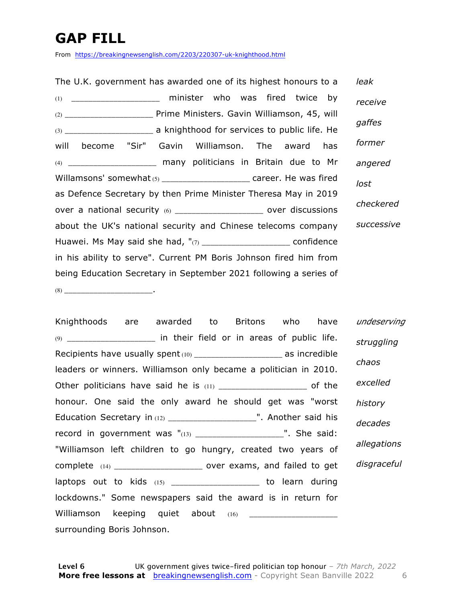### **GAP FILL**

From https://breakingnewsenglish.com/2203/220307-uk-knighthood.html

| The U.K. government has awarded one of its highest honours to a        | leak       |  |  |  |  |  |  |  |
|------------------------------------------------------------------------|------------|--|--|--|--|--|--|--|
| (1) ______________________ minister who was fired twice by             | receive    |  |  |  |  |  |  |  |
|                                                                        |            |  |  |  |  |  |  |  |
|                                                                        | gaffes     |  |  |  |  |  |  |  |
| will become "Sir" Gavin Williamson. The award<br>has                   | former     |  |  |  |  |  |  |  |
| (4) _______________________ many politicians in Britain due to Mr      | angered    |  |  |  |  |  |  |  |
| Willamsons' somewhat $(5)$ ______________________ career. He was fired | lost       |  |  |  |  |  |  |  |
| as Defence Secretary by then Prime Minister Theresa May in 2019        | checkered  |  |  |  |  |  |  |  |
| over a national security (6) ______________________ over discussions   |            |  |  |  |  |  |  |  |
| about the UK's national security and Chinese telecoms company          | successive |  |  |  |  |  |  |  |
| Huawei. Ms May said she had, "(7) _______________________ confidence   |            |  |  |  |  |  |  |  |
| in his ability to serve". Current PM Boris Johnson fired him from      |            |  |  |  |  |  |  |  |
| being Education Secretary in September 2021 following a series of      |            |  |  |  |  |  |  |  |
|                                                                        |            |  |  |  |  |  |  |  |

Knighthoods are awarded to Britons who have  $(9)$  \_\_\_\_\_\_\_\_\_\_\_\_\_\_\_\_\_\_\_\_\_\_\_\_\_\_\_ in their field or in areas of public life. Recipients have usually spent(10) \_\_\_\_\_\_\_\_\_\_\_\_\_\_\_\_\_\_\_\_\_\_\_ as incredible leaders or winners. Williamson only became a politician in 2010. Other politicians have said he is  $(11)$  and the set of the of the  $(11)$ honour. One said the only award he should get was "worst Education Secretary in (12) \_\_\_\_\_\_\_\_\_\_\_\_\_\_\_\_\_\_\_\_\_". Another said his record in government was "(13) \_\_\_\_\_\_\_\_\_\_\_\_\_\_\_\_\_\_\_\_\_". She said: "Williamson left children to go hungry, created two years of complete (14) complete (14) laptops out to kids (15) \_\_\_\_\_\_\_\_\_\_\_\_\_\_\_\_\_\_\_\_\_\_\_ to learn during lockdowns." Some newspapers said the award is in return for Williamson keeping quiet about (16) \_\_\_\_\_\_\_\_\_\_\_\_\_\_\_\_\_\_\_\_\_ surrounding Boris Johnson. *undeserving struggling chaos excelled history decades allegations disgraceful*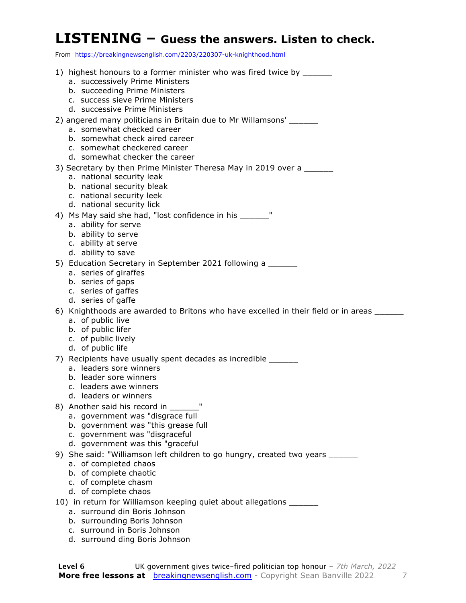#### **LISTENING – Guess the answers. Listen to check.**

From https://breakingnewsenglish.com/2203/220307-uk-knighthood.html

- 1) highest honours to a former minister who was fired twice by
	- a. successively Prime Ministers
	- b. succeeding Prime Ministers
	- c. success sieve Prime Ministers
	- d. successive Prime Ministers

#### 2) angered many politicians in Britain due to Mr Willamsons'

- a. somewhat checked career
- b. somewhat check aired career
- c. somewhat checkered career
- d. somewhat checker the career
- 3) Secretary by then Prime Minister Theresa May in 2019 over a
	- a. national security leak
	- b. national security bleak
	- c. national security leek
	- d. national security lick
- 4) Ms May said she had, "lost confidence in his Theory
	- a. ability for serve
	- b. ability to serve
	- c. ability at serve
	- d. ability to save
- 5) Education Secretary in September 2021 following a \_\_\_\_\_\_
	- a. series of giraffes
	- b. series of gaps
	- c. series of gaffes
	- d. series of gaffe
- 6) Knighthoods are awarded to Britons who have excelled in their field or in areas
	- a. of public live
	- b. of public lifer
	- c. of public lively
	- d. of public life
- 7) Recipients have usually spent decades as incredible \_\_\_\_\_\_\_
	- a. leaders sore winners
	- b. leader sore winners
	- c. leaders awe winners
	- d. leaders or winners
- 8) Another said his record in Theorem
	- a. government was "disgrace full
	- b. government was "this grease full
	- c. government was "disgraceful
	- d. government was this "graceful
- 9) She said: "Williamson left children to go hungry, created two years \_\_\_\_\_\_\_\_\_
	- a. of completed chaos
	- b. of complete chaotic
	- c. of complete chasm
	- d. of complete chaos
- 10) in return for Williamson keeping quiet about allegations \_\_\_\_\_\_
	- a. surround din Boris Johnson
	- b. surrounding Boris Johnson
	- c. surround in Boris Johnson
	- d. surround ding Boris Johnson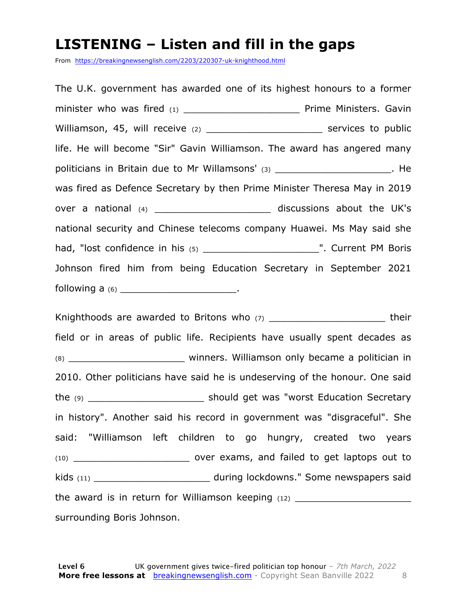#### **LISTENING – Listen and fill in the gaps**

From https://breakingnewsenglish.com/2203/220307-uk-knighthood.html

The U.K. government has awarded one of its highest honours to a former minister who was fired (1) \_\_\_\_\_\_\_\_\_\_\_\_\_\_\_\_\_\_\_\_ Prime Ministers. Gavin Williamson, 45, will receive (2) \_\_\_\_\_\_\_\_\_\_\_\_\_\_\_\_\_\_\_\_\_\_\_\_\_\_\_\_ services to public life. He will become "Sir" Gavin Williamson. The award has angered many politicians in Britain due to Mr Willamsons' (3) The model of the state of the state of the state of the state was fired as Defence Secretary by then Prime Minister Theresa May in 2019 over a national (4) \_\_\_\_\_\_\_\_\_\_\_\_\_\_\_\_\_\_\_\_\_\_\_\_ discussions about the UK's national security and Chinese telecoms company Huawei. Ms May said she had, "lost confidence in his (5) \_\_\_\_\_\_\_\_\_\_\_\_\_\_\_\_\_\_\_\_\_\_\_\_\_\_\_\_". Current PM Boris Johnson fired him from being Education Secretary in September 2021 following a  $(6)$  \_\_\_\_\_\_\_\_\_\_\_\_\_\_\_\_\_\_\_\_\_\_\_\_\_\_.

Knighthoods are awarded to Britons who (7) \_\_\_\_\_\_\_\_\_\_\_\_\_\_\_\_\_\_\_\_\_\_\_\_\_\_\_\_\_\_their field or in areas of public life. Recipients have usually spent decades as (8) \_\_\_\_\_\_\_\_\_\_\_\_\_\_\_\_\_\_\_\_ winners. Williamson only became a politician in 2010. Other politicians have said he is undeserving of the honour. One said the (9) \_\_\_\_\_\_\_\_\_\_\_\_\_\_\_\_\_\_\_\_ should get was "worst Education Secretary in history". Another said his record in government was "disgraceful". She said: "Williamson left children to go hungry, created two years (10) \_\_\_\_\_\_\_\_\_\_\_\_\_\_\_\_\_\_\_\_ over exams, and failed to get laptops out to kids (11) \_\_\_\_\_\_\_\_\_\_\_\_\_\_\_\_\_\_\_\_\_\_\_\_\_\_ during lockdowns." Some newspapers said the award is in return for Williamson keeping (12) \_\_\_\_\_\_\_\_\_\_\_\_\_\_\_\_\_\_\_\_\_\_\_\_\_\_\_\_\_ surrounding Boris Johnson.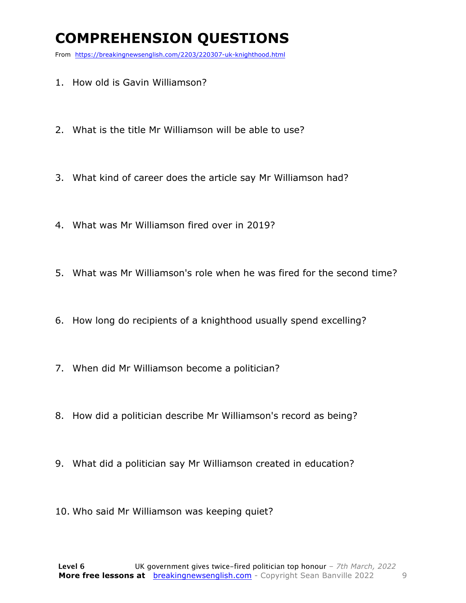### **COMPREHENSION QUESTIONS**

From https://breakingnewsenglish.com/2203/220307-uk-knighthood.html

- 1. How old is Gavin Williamson?
- 2. What is the title Mr Williamson will be able to use?
- 3. What kind of career does the article say Mr Williamson had?
- 4. What was Mr Williamson fired over in 2019?
- 5. What was Mr Williamson's role when he was fired for the second time?
- 6. How long do recipients of a knighthood usually spend excelling?
- 7. When did Mr Williamson become a politician?
- 8. How did a politician describe Mr Williamson's record as being?
- 9. What did a politician say Mr Williamson created in education?
- 10. Who said Mr Williamson was keeping quiet?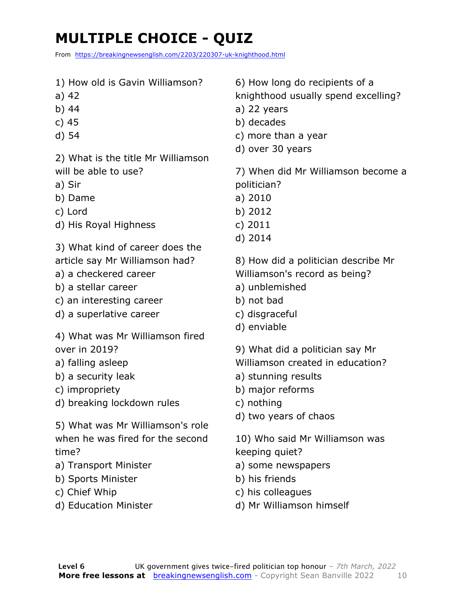### **MULTIPLE CHOICE - QUIZ**

From https://breakingnewsenglish.com/2203/220307-uk-knighthood.html

1) How old is Gavin Williamson? a) 42 b) 44 c) 45 d) 54 2) What is the title Mr Williamson will be able to use? a) Sir b) Dame c) Lord d) His Royal Highness 3) What kind of career does the article say Mr Williamson had? a) a checkered career b) a stellar career c) an interesting career d) a superlative career 4) What was Mr Williamson fired over in 2019? a) falling asleep b) a security leak c) impropriety d) breaking lockdown rules 5) What was Mr Williamson's role when he was fired for the second time? a) Transport Minister b) Sports Minister c) Chief Whip d) Education Minister 6) How long do recipients of a knighthood usually spend excelling? a) 22 years b) decades c) more than a year d) over 30 years 7) When did Mr Williamson become a politician? a) 2010 b) 2012 c) 2011 d) 2014 8) How did a politician describe Mr Williamson's record as being? a) unblemished b) not bad c) disgraceful d) enviable 9) What did a politician say Mr Williamson created in education? a) stunning results b) major reforms c) nothing d) two years of chaos 10) Who said Mr Williamson was keeping quiet? a) some newspapers b) his friends c) his colleagues d) Mr Williamson himself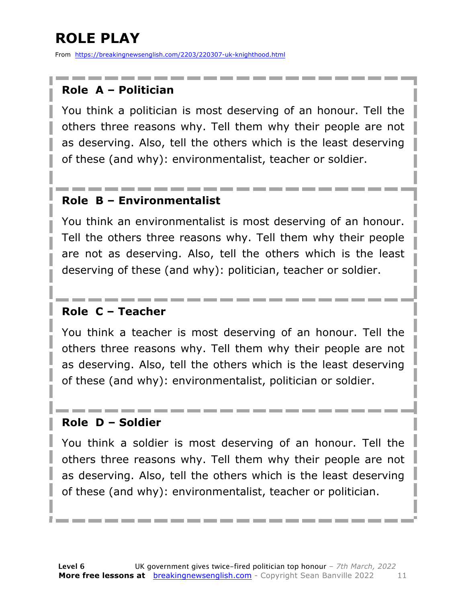### **ROLE PLAY**

From https://breakingnewsenglish.com/2203/220307-uk-knighthood.html

#### **Role A – Politician**

You think a politician is most deserving of an honour. Tell the others three reasons why. Tell them why their people are not as deserving. Also, tell the others which is the least deserving of these (and why): environmentalist, teacher or soldier.

#### **Role B – Environmentalist**

You think an environmentalist is most deserving of an honour. Tell the others three reasons why. Tell them why their people are not as deserving. Also, tell the others which is the least deserving of these (and why): politician, teacher or soldier.

#### **Role C – Teacher**

You think a teacher is most deserving of an honour. Tell the others three reasons why. Tell them why their people are not as deserving. Also, tell the others which is the least deserving of these (and why): environmentalist, politician or soldier.

#### **Role D – Soldier**

You think a soldier is most deserving of an honour. Tell the others three reasons why. Tell them why their people are not as deserving. Also, tell the others which is the least deserving of these (and why): environmentalist, teacher or politician.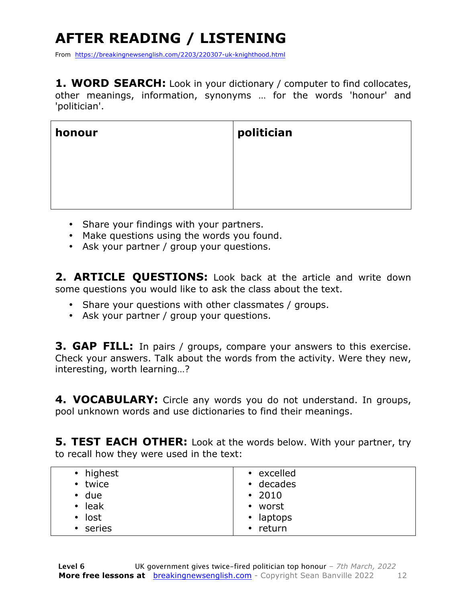## **AFTER READING / LISTENING**

From https://breakingnewsenglish.com/2203/220307-uk-knighthood.html

**1. WORD SEARCH:** Look in your dictionary / computer to find collocates, other meanings, information, synonyms … for the words 'honour' and 'politician'.

| honour | politician |
|--------|------------|
|        |            |
|        |            |

- Share your findings with your partners.
- Make questions using the words you found.
- Ask your partner / group your questions.

**2. ARTICLE QUESTIONS:** Look back at the article and write down some questions you would like to ask the class about the text.

- Share your questions with other classmates / groups.
- Ask your partner / group your questions.

**3. GAP FILL:** In pairs / groups, compare your answers to this exercise. Check your answers. Talk about the words from the activity. Were they new, interesting, worth learning…?

**4. VOCABULARY:** Circle any words you do not understand. In groups, pool unknown words and use dictionaries to find their meanings.

**5. TEST EACH OTHER:** Look at the words below. With your partner, try to recall how they were used in the text:

| • highest<br>• twice<br>$\cdot$ due<br>$\cdot$ leak<br>$\cdot$ lost<br>• series | • excelled<br>$\cdot$ decades<br>$\cdot$ 2010<br>• worst<br>• laptops<br>return<br>$\bullet$ |
|---------------------------------------------------------------------------------|----------------------------------------------------------------------------------------------|
|---------------------------------------------------------------------------------|----------------------------------------------------------------------------------------------|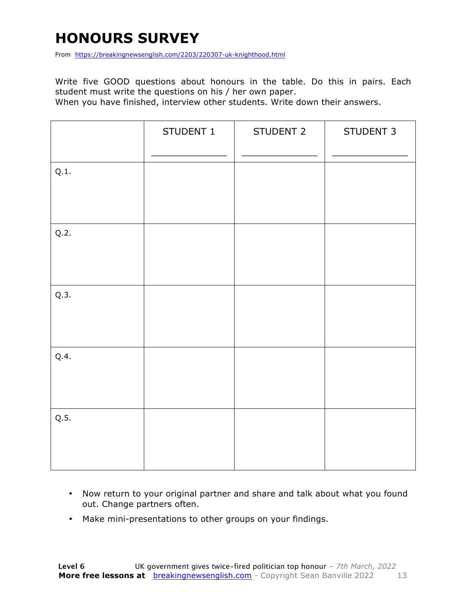### **HONOURS SURVEY**

From https://breakingnewsenglish.com/2203/220307-uk-knighthood.html

Write five GOOD questions about honours in the table. Do this in pairs. Each student must write the questions on his / her own paper.

When you have finished, interview other students. Write down their answers.

|      | STUDENT 1 | STUDENT 2 | STUDENT 3 |
|------|-----------|-----------|-----------|
| Q.1. |           |           |           |
| Q.2. |           |           |           |
| Q.3. |           |           |           |
| Q.4. |           |           |           |
| Q.5. |           |           |           |

- Now return to your original partner and share and talk about what you found out. Change partners often.
- Make mini-presentations to other groups on your findings.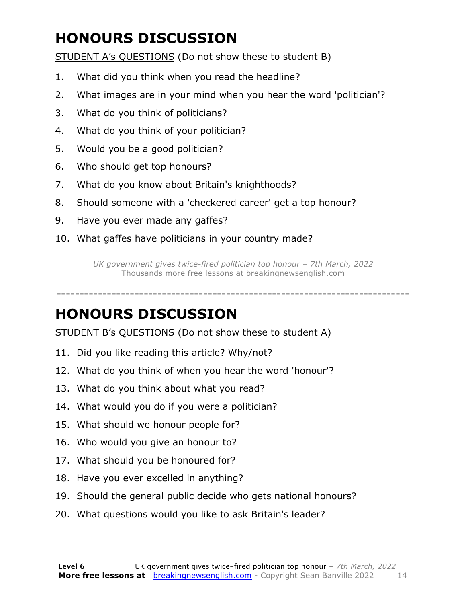### **HONOURS DISCUSSION**

STUDENT A's QUESTIONS (Do not show these to student B)

- 1. What did you think when you read the headline?
- 2. What images are in your mind when you hear the word 'politician'?
- 3. What do you think of politicians?
- 4. What do you think of your politician?
- 5. Would you be a good politician?
- 6. Who should get top honours?
- 7. What do you know about Britain's knighthoods?
- 8. Should someone with a 'checkered career' get a top honour?
- 9. Have you ever made any gaffes?
- 10. What gaffes have politicians in your country made?

*UK government gives twice-fired politician top honour – 7th March, 2022* Thousands more free lessons at breakingnewsenglish.com

-----------------------------------------------------------------------------

#### **HONOURS DISCUSSION**

STUDENT B's QUESTIONS (Do not show these to student A)

- 11. Did you like reading this article? Why/not?
- 12. What do you think of when you hear the word 'honour'?
- 13. What do you think about what you read?
- 14. What would you do if you were a politician?
- 15. What should we honour people for?
- 16. Who would you give an honour to?
- 17. What should you be honoured for?
- 18. Have you ever excelled in anything?
- 19. Should the general public decide who gets national honours?
- 20. What questions would you like to ask Britain's leader?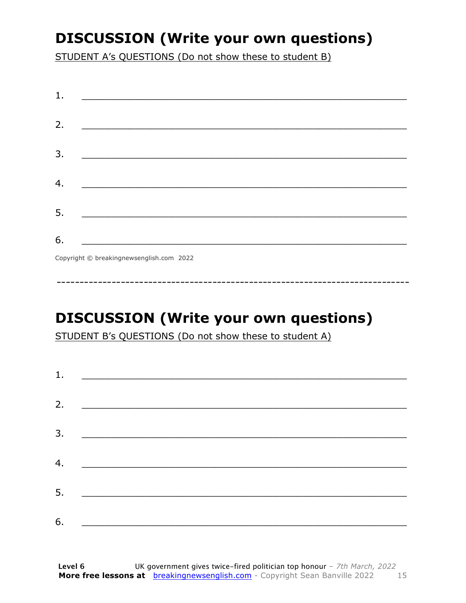### **DISCUSSION (Write your own questions)**

STUDENT A's QUESTIONS (Do not show these to student B)

| 1. |                                          |
|----|------------------------------------------|
|    |                                          |
| 2. |                                          |
|    |                                          |
| 3. |                                          |
|    |                                          |
| 4. |                                          |
|    |                                          |
|    |                                          |
| 5. |                                          |
| 6. |                                          |
|    |                                          |
|    | Copyright © breakingnewsenglish.com 2022 |

### **DISCUSSION (Write your own questions)**

STUDENT B's QUESTIONS (Do not show these to student A)

| 1. |                                                                                                                                                                                                                                      |  |
|----|--------------------------------------------------------------------------------------------------------------------------------------------------------------------------------------------------------------------------------------|--|
| 2. |                                                                                                                                                                                                                                      |  |
|    | <u> 1980 - Andrea Andrew Maria (h. 1980).</u>                                                                                                                                                                                        |  |
| 3. |                                                                                                                                                                                                                                      |  |
|    |                                                                                                                                                                                                                                      |  |
| 4. | <u> 1980 - Johann Stein, fransk politik (</u>                                                                                                                                                                                        |  |
| 5. | <u> 1980 - Johann Stoff, deutscher Stoffen und der Stoffen und der Stoffen und der Stoffen und der Stoffen und der Stoffen und der Stoffen und der Stoffen und der Stoffen und der Stoffen und der Stoffen und der Stoffen und d</u> |  |
|    |                                                                                                                                                                                                                                      |  |
| 6. | <u> 1989 - Andrea Albert III, politik a postal de la provincia de la provincia de la provincia de la provincia d</u>                                                                                                                 |  |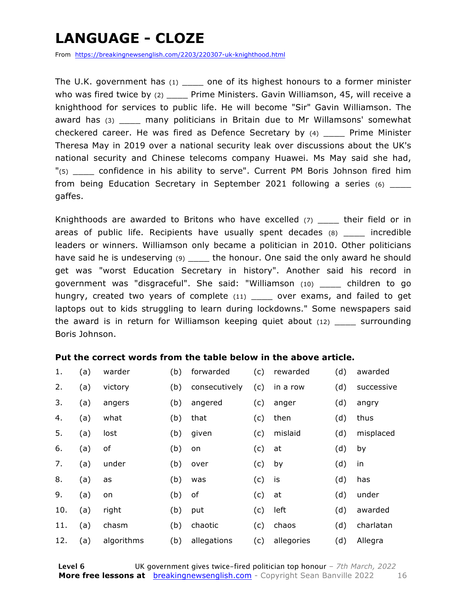### **LANGUAGE - CLOZE**

From https://breakingnewsenglish.com/2203/220307-uk-knighthood.html

The U.K. government has  $(1)$  one of its highest honours to a former minister who was fired twice by (2) \_\_\_\_\_ Prime Ministers. Gavin Williamson, 45, will receive a knighthood for services to public life. He will become "Sir" Gavin Williamson. The award has (3) \_\_\_\_\_ many politicians in Britain due to Mr Willamsons' somewhat checkered career. He was fired as Defence Secretary by (4) \_\_\_\_ Prime Minister Theresa May in 2019 over a national security leak over discussions about the UK's national security and Chinese telecoms company Huawei. Ms May said she had, "(5) \_\_\_\_ confidence in his ability to serve". Current PM Boris Johnson fired him from being Education Secretary in September 2021 following a series (6) \_\_\_\_ gaffes.

Knighthoods are awarded to Britons who have excelled  $(7)$  \_\_\_\_ their field or in areas of public life. Recipients have usually spent decades (8) and incredible leaders or winners. Williamson only became a politician in 2010. Other politicians have said he is undeserving (9) \_\_\_\_\_ the honour. One said the only award he should get was "worst Education Secretary in history". Another said his record in government was "disgraceful". She said: "Williamson (10) \_\_\_\_ children to go hungry, created two years of complete (11) \_\_\_\_ over exams, and failed to get laptops out to kids struggling to learn during lockdowns." Some newspapers said the award is in return for Williamson keeping quiet about (12) \_\_\_\_ surrounding Boris Johnson.

#### **Put the correct words from the table below in the above article.**

| 1.  | (a) | warder     | (b) | forwarded     | (c) | rewarded   | (d) | awarded    |
|-----|-----|------------|-----|---------------|-----|------------|-----|------------|
| 2.  | (a) | victory    | (b) | consecutively | (c) | in a row   | (d) | successive |
| 3.  | (a) | angers     | (b) | angered       | (c) | anger      | (d) | angry      |
| 4.  | (a) | what       | (b) | that          | (c) | then       | (d) | thus       |
| 5.  | (a) | lost       | (b) | given         | (c) | mislaid    | (d) | misplaced  |
| 6.  | (a) | of         | (b) | on            | (c) | at         | (d) | by         |
| 7.  | (a) | under      | (b) | over          | (c) | by         | (d) | in         |
| 8.  | (a) | as         | (b) | was           | (c) | is         | (d) | has        |
| 9.  | (a) | on         | (b) | of            | (c) | at         | (d) | under      |
| 10. | (a) | right      | (b) | put           | (c) | left       | (d) | awarded    |
| 11. | (a) | chasm      | (b) | chaotic       | (c) | chaos      | (d) | charlatan  |
| 12. | (a) | algorithms | (b) | allegations   | (c) | allegories | (d) | Allegra    |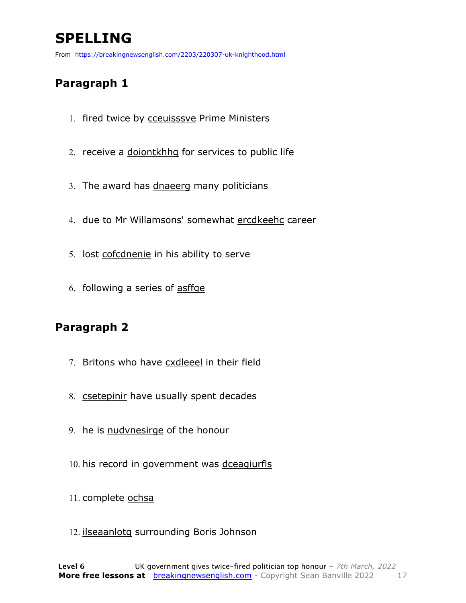### **SPELLING**

From https://breakingnewsenglish.com/2203/220307-uk-knighthood.html

#### **Paragraph 1**

- 1. fired twice by cceuisssve Prime Ministers
- 2. receive a doiontkhhg for services to public life
- 3. The award has dnaeerg many politicians
- 4. due to Mr Willamsons' somewhat ercdkeehc career
- 5. lost cofcdnenie in his ability to serve
- 6. following a series of asffge

#### **Paragraph 2**

- 7. Britons who have cxdleeel in their field
- 8. csetepinir have usually spent decades
- 9. he is nudvnesirge of the honour
- 10. his record in government was dceagiurfls
- 11. complete ochsa
- 12. ilseaanlotg surrounding Boris Johnson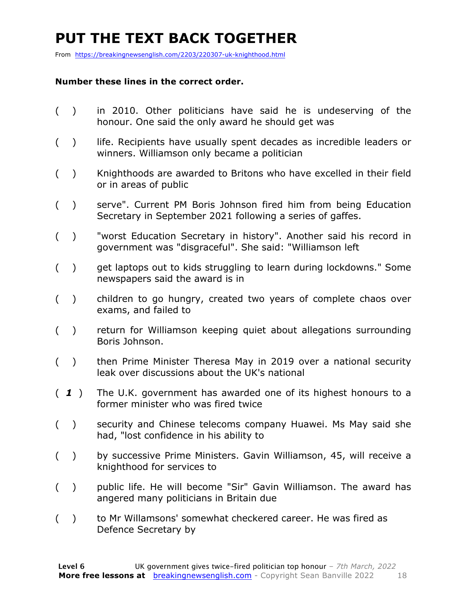### **PUT THE TEXT BACK TOGETHER**

From https://breakingnewsenglish.com/2203/220307-uk-knighthood.html

#### **Number these lines in the correct order.**

- ( ) in 2010. Other politicians have said he is undeserving of the honour. One said the only award he should get was
- () life. Recipients have usually spent decades as incredible leaders or winners. Williamson only became a politician
- ( ) Knighthoods are awarded to Britons who have excelled in their field or in areas of public
- ( ) serve". Current PM Boris Johnson fired him from being Education Secretary in September 2021 following a series of gaffes.
- ( ) "worst Education Secretary in history". Another said his record in government was "disgraceful". She said: "Williamson left
- ( ) get laptops out to kids struggling to learn during lockdowns." Some newspapers said the award is in
- ( ) children to go hungry, created two years of complete chaos over exams, and failed to
- ( ) return for Williamson keeping quiet about allegations surrounding Boris Johnson.
- ( ) then Prime Minister Theresa May in 2019 over a national security leak over discussions about the UK's national
- ( *1* ) The U.K. government has awarded one of its highest honours to a former minister who was fired twice
- ( ) security and Chinese telecoms company Huawei. Ms May said she had, "lost confidence in his ability to
- ( ) by successive Prime Ministers. Gavin Williamson, 45, will receive a knighthood for services to
- ( ) public life. He will become "Sir" Gavin Williamson. The award has angered many politicians in Britain due
- ( ) to Mr Willamsons' somewhat checkered career. He was fired as Defence Secretary by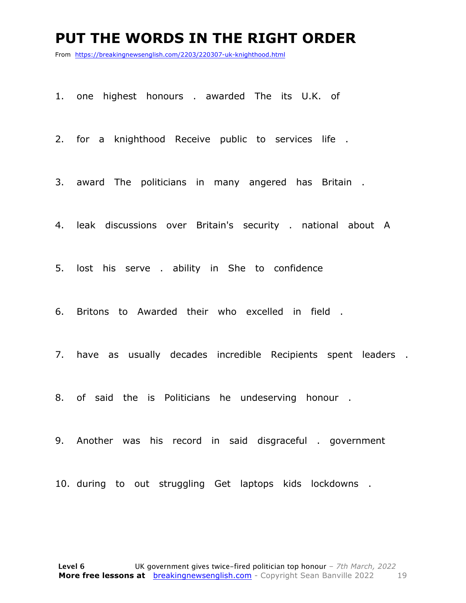#### **PUT THE WORDS IN THE RIGHT ORDER**

From https://breakingnewsenglish.com/2203/220307-uk-knighthood.html

1. one highest honours . awarded The its U.K. of

2. for a knighthood Receive public to services life .

3. award The politicians in many angered has Britain .

4. leak discussions over Britain's security . national about A

5. lost his serve . ability in She to confidence

6. Britons to Awarded their who excelled in field .

7. have as usually decades incredible Recipients spent leaders .

8. of said the is Politicians he undeserving honour .

9. Another was his record in said disgraceful . government

10. during to out struggling Get laptops kids lockdowns .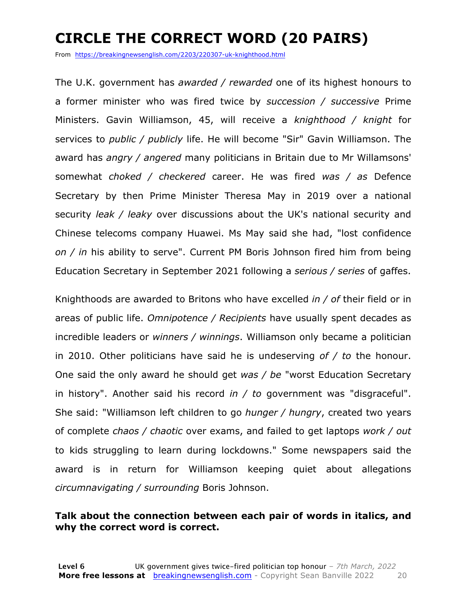### **CIRCLE THE CORRECT WORD (20 PAIRS)**

From https://breakingnewsenglish.com/2203/220307-uk-knighthood.html

The U.K. government has *awarded / rewarded* one of its highest honours to a former minister who was fired twice by *succession / successive* Prime Ministers. Gavin Williamson, 45, will receive a *knighthood / knight* for services to *public / publicly* life. He will become "Sir" Gavin Williamson. The award has *angry / angered* many politicians in Britain due to Mr Willamsons' somewhat *choked / checkered* career. He was fired *was / as* Defence Secretary by then Prime Minister Theresa May in 2019 over a national security *leak / leaky* over discussions about the UK's national security and Chinese telecoms company Huawei. Ms May said she had, "lost confidence *on / in* his ability to serve". Current PM Boris Johnson fired him from being Education Secretary in September 2021 following a *serious / series* of gaffes.

Knighthoods are awarded to Britons who have excelled *in / of* their field or in areas of public life. *Omnipotence / Recipients* have usually spent decades as incredible leaders or *winners / winnings*. Williamson only became a politician in 2010. Other politicians have said he is undeserving *of / to* the honour. One said the only award he should get *was / be* "worst Education Secretary in history". Another said his record *in / to* government was "disgraceful". She said: "Williamson left children to go *hunger / hungry*, created two years of complete *chaos / chaotic* over exams, and failed to get laptops *work / out* to kids struggling to learn during lockdowns." Some newspapers said the award is in return for Williamson keeping quiet about allegations *circumnavigating / surrounding* Boris Johnson.

#### **Talk about the connection between each pair of words in italics, and why the correct word is correct.**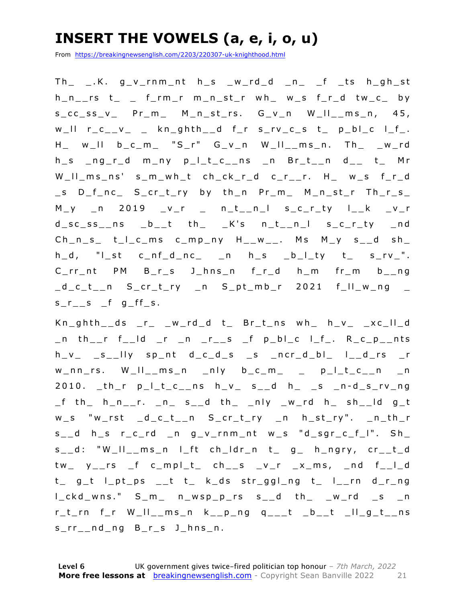### **INSERT THE VOWELS (a, e, i, o, u)**

From https://breakingnewsenglish.com/2203/220307-uk-knighthood.html

 $Th$   $K.$   $g$   $v$  rnm nt  $h$   $s$   $w$   $rd$   $d$   $n$   $f$  is  $h$   $gh$   $st$ h\_n\_\_rs t\_ \_ f\_rm\_r m\_n\_st\_r wh\_ w\_s f\_r\_d tw\_c\_ by s\_cc\_ss\_v\_ Pr\_m\_ M\_n\_ st\_rs. G\_v\_n W\_ll\_\_ms\_n, 45,  $w_l$ ll  $r_c$ <sub>\_\_</sub>v<sub>\_</sub> \_ kn\_ghth<sub>\_\_</sub>d  $f$ \_r s\_rv\_c\_s t\_ p\_bl\_c l\_f\_. H\_ w\_ll b\_c\_m\_ "S\_r" G\_v\_n W\_ll\_\_ms\_n. Th\_ \_w\_rd h\_s \_ng\_r\_d m\_ny p\_l\_t\_c\_\_ns \_n Br\_t\_\_n d\_\_ t\_ Mr W\_ll\_ms\_ns' s\_m\_wh\_t ch\_ck\_r\_d c\_r\_\_r. H\_ w\_s f\_r\_d \_s D\_f\_nc\_ S\_cr\_t\_ry by th\_n Pr\_m\_ M\_n\_st\_r Th\_r\_s\_ M\_y \_n 2019 \_v\_r \_ n\_t\_\_n\_l s\_c\_r\_ty l\_\_k \_v\_r  $d$ <sub>\_</sub>sc\_ss\_\_ns \_b\_\_t th\_ \_K's n\_t\_\_n\_l s\_c\_r\_ty \_nd  $Ch_n_s$  t\_I\_c\_ms c\_mp\_ny H\_\_w\_\_. Ms M\_y s\_\_d sh\_ h\_d, "l\_st c\_nf\_d\_nc\_ \_n h\_s \_b\_l\_ty t\_ s\_rv\_". C\_rr\_nt PM B\_r\_s J\_hns\_n f\_r\_d h\_m fr\_m b\_\_ng \_d\_c\_t\_\_n S\_cr\_t\_ry \_n S\_pt\_mb\_r 2021 f\_ll\_w\_ng \_  $s_r$  s f g ff s.

Kn\_ghth\_\_ds \_r\_ \_w\_rd\_d t\_ Br\_t\_ns wh\_ h\_v\_ \_xc\_ll\_d  $\_n$  th $\_r$  f $\_ld$   $\_r$   $\_n$   $\_r\_s$   $\_f$   $p\_bl\_c$   $l\_f\_$ . R $\_c\_p\_nts$ h\_v\_ \_s\_\_lly sp\_nt d\_c\_d\_s \_s \_ncr\_d\_bl\_ l\_\_d\_rs \_r  $w_n$ nn\_rs.  $W_l$ ll\_\_ms\_n \_nly b\_c\_m\_ \_ p\_l\_t\_c\_\_n \_n  $2010.$  \_th\_r  $p_l_t_c$ \_ns  $h_v$  s\_d  $h$  s \_s \_n-d\_s\_rv\_ng \_f th\_ h\_n\_\_r. \_n\_ s\_\_d th\_ \_ nly \_w\_rd h\_ sh\_\_ld g\_t w\_s "w\_rst \_d\_c\_t\_\_n S\_cr\_t\_ry \_n h\_st\_ry". \_n\_th\_r s\_\_d h\_s r\_c\_rd \_n g\_v\_rnm\_nt w\_s "d\_sgr\_c\_f\_l". Sh\_ s\_\_d: "W\_ll\_\_ms\_n l\_ft ch\_ldr\_n t\_ g\_ h\_ngry, cr\_\_t\_d tw\_ y\_\_rs \_f c\_mpl\_t\_ ch\_\_s \_v\_r \_x\_ms, \_nd f\_\_l\_d t\_ g\_t l\_pt\_ps \_\_t t\_ k\_ds str\_ggl\_ng t\_ l\_\_rn d\_r\_ng l\_ckd\_wns." S\_m\_ n\_wsp\_p\_rs s\_\_d th\_ \_w\_rd \_s \_n  $r_t$ rn f\_r W\_II\_\_ms\_n k\_\_p\_ng q\_\_\_t \_b\_\_t \_II\_g\_t\_\_ns s\_rr\_\_nd\_ng B\_r\_s J\_hns\_n.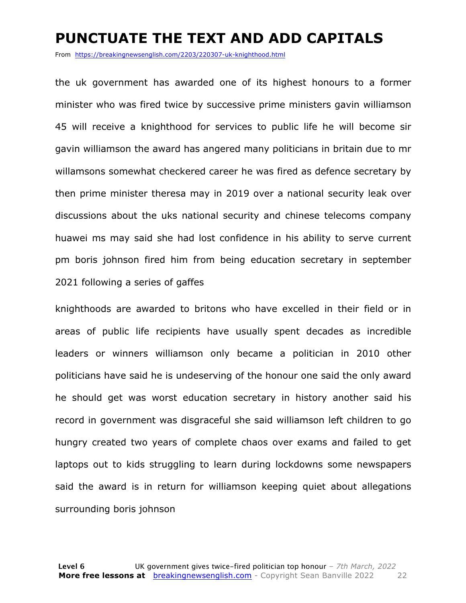#### **PUNCTUATE THE TEXT AND ADD CAPITALS**

From https://breakingnewsenglish.com/2203/220307-uk-knighthood.html

the uk government has awarded one of its highest honours to a former minister who was fired twice by successive prime ministers gavin williamson 45 will receive a knighthood for services to public life he will become sir gavin williamson the award has angered many politicians in britain due to mr willamsons somewhat checkered career he was fired as defence secretary by then prime minister theresa may in 2019 over a national security leak over discussions about the uks national security and chinese telecoms company huawei ms may said she had lost confidence in his ability to serve current pm boris johnson fired him from being education secretary in september 2021 following a series of gaffes

knighthoods are awarded to britons who have excelled in their field or in areas of public life recipients have usually spent decades as incredible leaders or winners williamson only became a politician in 2010 other politicians have said he is undeserving of the honour one said the only award he should get was worst education secretary in history another said his record in government was disgraceful she said williamson left children to go hungry created two years of complete chaos over exams and failed to get laptops out to kids struggling to learn during lockdowns some newspapers said the award is in return for williamson keeping quiet about allegations surrounding boris johnson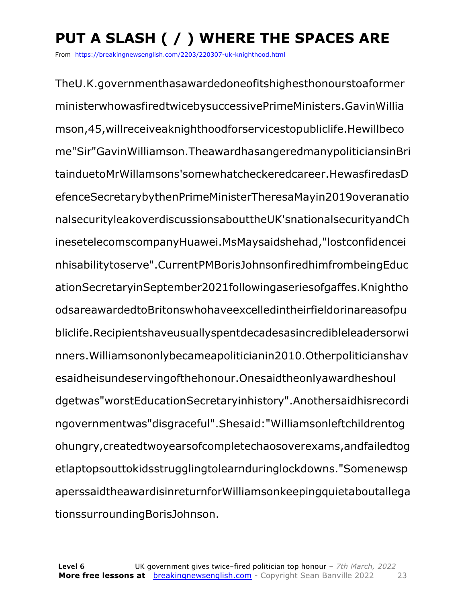## **PUT A SLASH ( / ) WHERE THE SPACES ARE**

From https://breakingnewsenglish.com/2203/220307-uk-knighthood.html

TheU.K.governmenthasawardedoneofitshighesthonourstoaformer ministerwhowasfiredtwicebysuccessivePrimeMinisters.GavinWillia mson,45,willreceiveaknighthoodforservicestopubliclife.Hewillbeco me"Sir"GavinWilliamson.TheawardhasangeredmanypoliticiansinBri tainduetoMrWillamsons'somewhatcheckeredcareer.HewasfiredasD efenceSecretarybythenPrimeMinisterTheresaMayin2019overanatio nalsecurityleakoverdiscussionsabouttheUK'snationalsecurityandCh inesetelecomscompanyHuawei.MsMaysaidshehad,"lostconfidencei nhisabilitytoserve".CurrentPMBorisJohnsonfiredhimfrombeingEduc ationSecretaryinSeptember2021followingaseriesofgaffes.Knightho odsareawardedtoBritonswhohaveexcelledintheirfieldorinareasofpu bliclife.Recipientshaveusuallyspentdecadesasincredibleleadersorwi nners.Williamsononlybecameapoliticianin2010.Otherpoliticianshav esaidheisundeservingofthehonour.Onesaidtheonlyawardheshoul dgetwas"worstEducationSecretaryinhistory".Anothersaidhisrecordi ngovernmentwas"disgraceful".Shesaid:"Williamsonleftchildrentog ohungry,createdtwoyearsofcompletechaosoverexams,andfailedtog etlaptopsouttokidsstrugglingtolearnduringlockdowns."Somenewsp aperssaidtheawardisinreturnforWilliamsonkeepingquietaboutallega tionssurroundingBorisJohnson.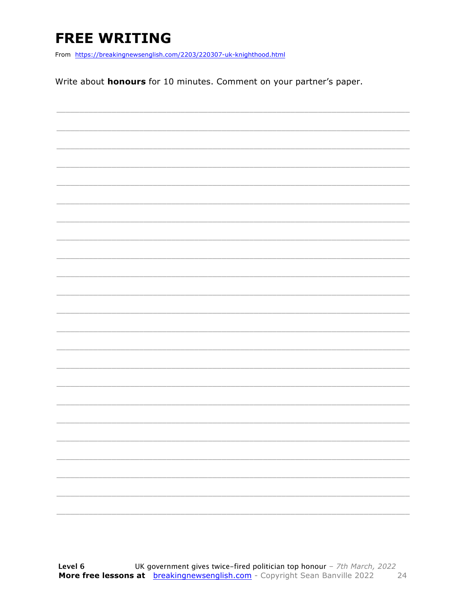### **FREE WRITING**

From https://breakingnewsenglish.com/2203/220307-uk-knighthood.html

Write about **honours** for 10 minutes. Comment on your partner's paper.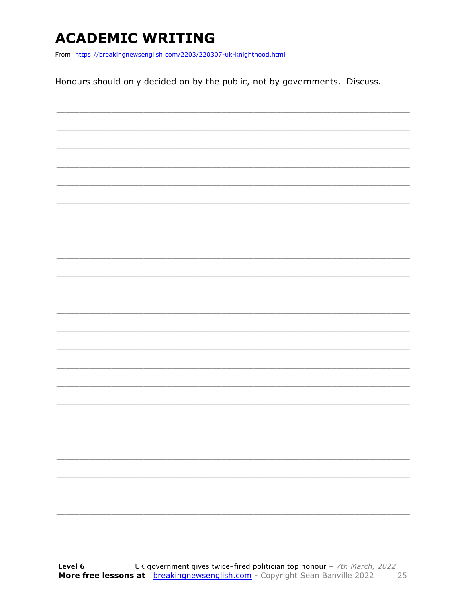### **ACADEMIC WRITING**

From https://breakingnewsenglish.com/2203/220307-uk-knighthood.html

Honours should only decided on by the public, not by governments. Discuss.

|  | $\overline{\phantom{0}}$ |
|--|--------------------------|
|  |                          |
|  | -                        |
|  |                          |
|  |                          |
|  |                          |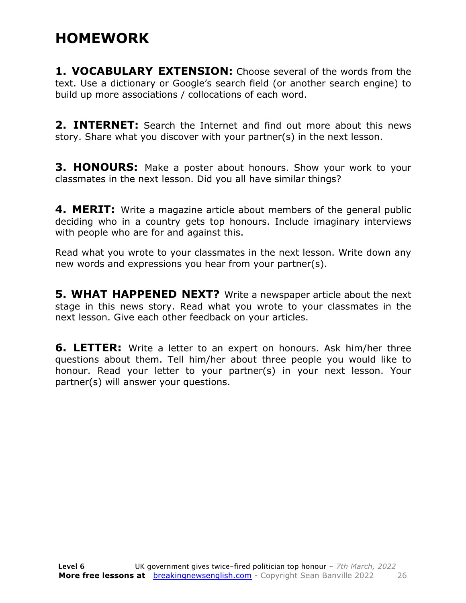#### **HOMEWORK**

**1. VOCABULARY EXTENSION:** Choose several of the words from the text. Use a dictionary or Google's search field (or another search engine) to build up more associations / collocations of each word.

**2. INTERNET:** Search the Internet and find out more about this news story. Share what you discover with your partner(s) in the next lesson.

**3. HONOURS:** Make a poster about honours. Show your work to your classmates in the next lesson. Did you all have similar things?

**4. MERIT:** Write a magazine article about members of the general public deciding who in a country gets top honours. Include imaginary interviews with people who are for and against this.

Read what you wrote to your classmates in the next lesson. Write down any new words and expressions you hear from your partner(s).

**5. WHAT HAPPENED NEXT?** Write a newspaper article about the next stage in this news story. Read what you wrote to your classmates in the next lesson. Give each other feedback on your articles.

**6. LETTER:** Write a letter to an expert on honours. Ask him/her three questions about them. Tell him/her about three people you would like to honour. Read your letter to your partner(s) in your next lesson. Your partner(s) will answer your questions.